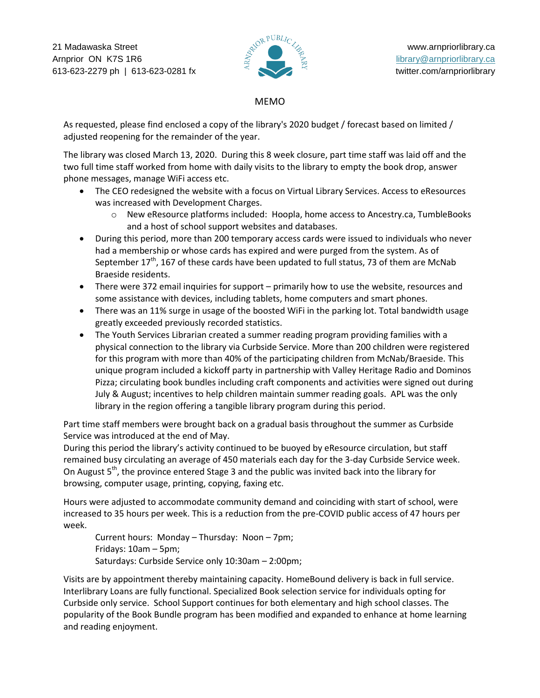21 Madawaska Street www.arnpriorlibrary.ca<br>Arnprior ON K7S 1R6  $\overline{\mathcal{Z}}^{\mathcal{X}^{\text{QR}}^{\text{PUBLI}}C_{\mathcal{Z}_{\mathcal{Z}_{\mathcal{Z}_{\mathcal{Z}}^{\text{Q}}}}}$  www.arnpriorlibrary.ca Arnprior ON K7S 1R6 library@arnpriorlibrary.ca 613-623-2279 ph | 613-623-0281 fx twitter.com/arnpriorlibrary



## MEMO

As requested, please find enclosed a copy of the library's 2020 budget / forecast based on limited / adjusted reopening for the remainder of the year.

The library was closed March 13, 2020. During this 8 week closure, part time staff was laid off and the two full time staff worked from home with daily visits to the library to empty the book drop, answer phone messages, manage WiFi access etc.

- The CEO redesigned the website with a focus on Virtual Library Services. Access to eResources was increased with Development Charges.
	- o New eResource platforms included: Hoopla, home access to Ancestry.ca, TumbleBooks and a host of school support websites and databases.
- During this period, more than 200 temporary access cards were issued to individuals who never had a membership or whose cards has expired and were purged from the system. As of September  $17<sup>th</sup>$ , 167 of these cards have been updated to full status, 73 of them are McNab Braeside residents.
- There were 372 email inquiries for support primarily how to use the website, resources and some assistance with devices, including tablets, home computers and smart phones.
- There was an 11% surge in usage of the boosted WiFi in the parking lot. Total bandwidth usage greatly exceeded previously recorded statistics.
- The Youth Services Librarian created a summer reading program providing families with a physical connection to the library via Curbside Service. More than 200 children were registered for this program with more than 40% of the participating children from McNab/Braeside. This unique program included a kickoff party in partnership with Valley Heritage Radio and Dominos Pizza; circulating book bundles including craft components and activities were signed out during July & August; incentives to help children maintain summer reading goals. APL was the only library in the region offering a tangible library program during this period.

Part time staff members were brought back on a gradual basis throughout the summer as Curbside Service was introduced at the end of May.

During this period the library's activity continued to be buoyed by eResource circulation, but staff remained busy circulating an average of 450 materials each day for the 3-day Curbside Service week. On August  $5<sup>th</sup>$ , the province entered Stage 3 and the public was invited back into the library for browsing, computer usage, printing, copying, faxing etc.

Hours were adjusted to accommodate community demand and coinciding with start of school, were increased to 35 hours per week. This is a reduction from the pre-COVID public access of 47 hours per week.

Current hours: Monday – Thursday: Noon – 7pm; Fridays: 10am – 5pm; Saturdays: Curbside Service only 10:30am – 2:00pm;

Visits are by appointment thereby maintaining capacity. HomeBound delivery is back in full service. Interlibrary Loans are fully functional. Specialized Book selection service for individuals opting for Curbside only service. School Support continues for both elementary and high school classes. The popularity of the Book Bundle program has been modified and expanded to enhance at home learning and reading enjoyment.